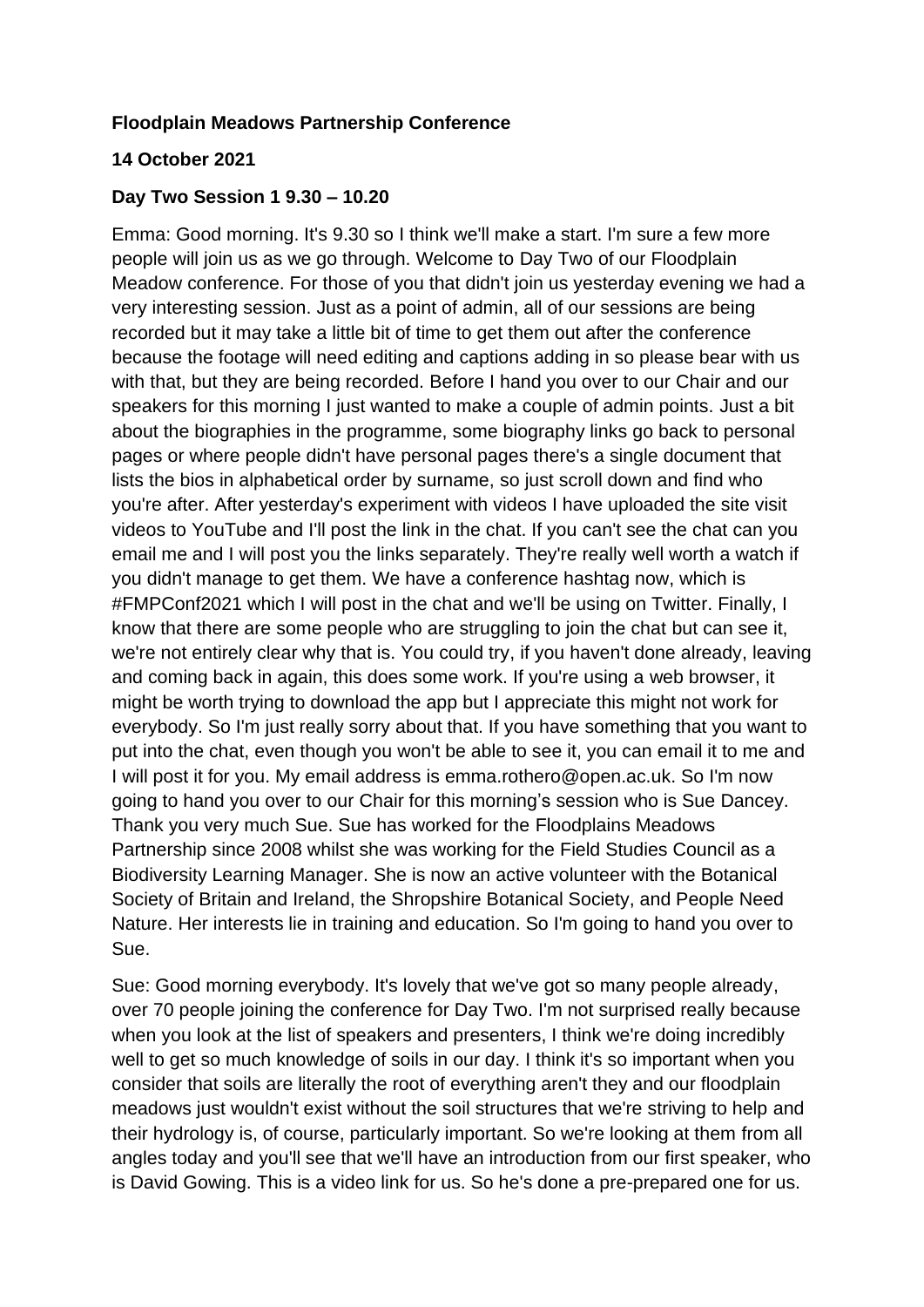#### **Floodplain Meadows Partnership Conference**

#### **14 October 2021**

#### **Day Two Session 1 9.30 – 10.20**

Emma: Good morning. It's 9.30 so I think we'll make a start. I'm sure a few more people will join us as we go through. Welcome to Day Two of our Floodplain Meadow conference. For those of you that didn't join us yesterday evening we had a very interesting session. Just as a point of admin, all of our sessions are being recorded but it may take a little bit of time to get them out after the conference because the footage will need editing and captions adding in so please bear with us with that, but they are being recorded. Before I hand you over to our Chair and our speakers for this morning I just wanted to make a couple of admin points. Just a bit about the biographies in the programme, some biography links go back to personal pages or where people didn't have personal pages there's a single document that lists the bios in alphabetical order by surname, so just scroll down and find who you're after. After yesterday's experiment with videos I have uploaded the site visit videos to YouTube and I'll post the link in the chat. If you can't see the chat can you email me and I will post you the links separately. They're really well worth a watch if you didn't manage to get them. We have a conference hashtag now, which is #FMPConf2021 which I will post in the chat and we'll be using on Twitter. Finally, I know that there are some people who are struggling to join the chat but can see it, we're not entirely clear why that is. You could try, if you haven't done already, leaving and coming back in again, this does some work. If you're using a web browser, it might be worth trying to download the app but I appreciate this might not work for everybody. So I'm just really sorry about that. If you have something that you want to put into the chat, even though you won't be able to see it, you can email it to me and I will post it for you. My email address is emma.rothero@open.ac.uk. So I'm now going to hand you over to our Chair for this morning's session who is Sue Dancey. Thank you very much Sue. Sue has worked for the Floodplains Meadows Partnership since 2008 whilst she was working for the Field Studies Council as a Biodiversity Learning Manager. She is now an active volunteer with the Botanical Society of Britain and Ireland, the Shropshire Botanical Society, and People Need Nature. Her interests lie in training and education. So I'm going to hand you over to Sue.

Sue: Good morning everybody. It's lovely that we've got so many people already, over 70 people joining the conference for Day Two. I'm not surprised really because when you look at the list of speakers and presenters, I think we're doing incredibly well to get so much knowledge of soils in our day. I think it's so important when you consider that soils are literally the root of everything aren't they and our floodplain meadows just wouldn't exist without the soil structures that we're striving to help and their hydrology is, of course, particularly important. So we're looking at them from all angles today and you'll see that we'll have an introduction from our first speaker, who is David Gowing. This is a video link for us. So he's done a pre-prepared one for us.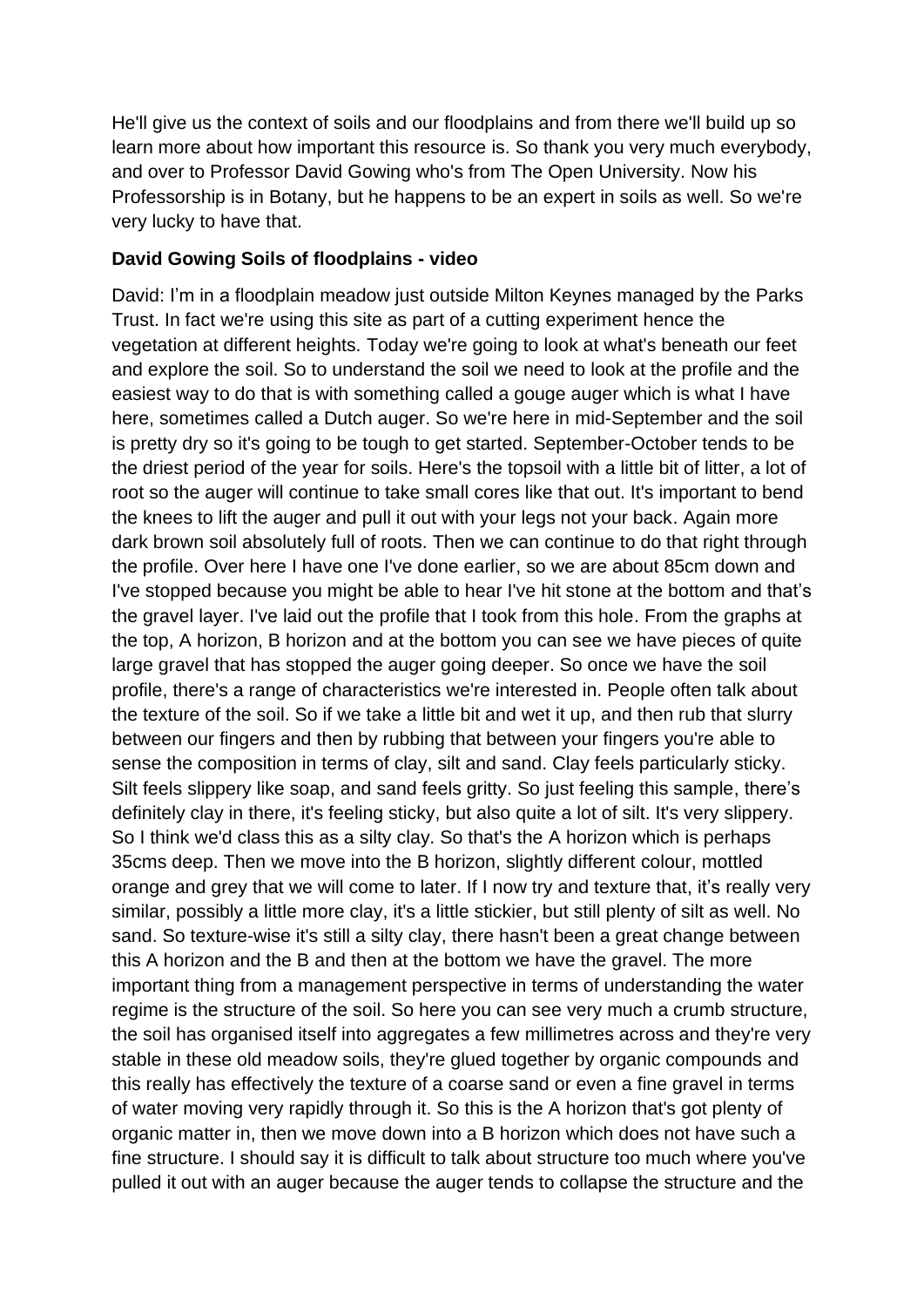He'll give us the context of soils and our floodplains and from there we'll build up so learn more about how important this resource is. So thank you very much everybody, and over to Professor David Gowing who's from The Open University. Now his Professorship is in Botany, but he happens to be an expert in soils as well. So we're very lucky to have that.

#### **David Gowing Soils of floodplains - video**

David: I'm in a floodplain meadow just outside Milton Keynes managed by the Parks Trust. In fact we're using this site as part of a cutting experiment hence the vegetation at different heights. Today we're going to look at what's beneath our feet and explore the soil. So to understand the soil we need to look at the profile and the easiest way to do that is with something called a gouge auger which is what I have here, sometimes called a Dutch auger. So we're here in mid-September and the soil is pretty dry so it's going to be tough to get started. September-October tends to be the driest period of the year for soils. Here's the topsoil with a little bit of litter, a lot of root so the auger will continue to take small cores like that out. It's important to bend the knees to lift the auger and pull it out with your legs not your back. Again more dark brown soil absolutely full of roots. Then we can continue to do that right through the profile. Over here I have one I've done earlier, so we are about 85cm down and I've stopped because you might be able to hear I've hit stone at the bottom and that's the gravel layer. I've laid out the profile that I took from this hole. From the graphs at the top, A horizon, B horizon and at the bottom you can see we have pieces of quite large gravel that has stopped the auger going deeper. So once we have the soil profile, there's a range of characteristics we're interested in. People often talk about the texture of the soil. So if we take a little bit and wet it up, and then rub that slurry between our fingers and then by rubbing that between your fingers you're able to sense the composition in terms of clay, silt and sand. Clay feels particularly sticky. Silt feels slippery like soap, and sand feels gritty. So just feeling this sample, there's definitely clay in there, it's feeling sticky, but also quite a lot of silt. It's very slippery. So I think we'd class this as a silty clay. So that's the A horizon which is perhaps 35cms deep. Then we move into the B horizon, slightly different colour, mottled orange and grey that we will come to later. If I now try and texture that, it's really very similar, possibly a little more clay, it's a little stickier, but still plenty of silt as well. No sand. So texture-wise it's still a silty clay, there hasn't been a great change between this A horizon and the B and then at the bottom we have the gravel. The more important thing from a management perspective in terms of understanding the water regime is the structure of the soil. So here you can see very much a crumb structure, the soil has organised itself into aggregates a few millimetres across and they're very stable in these old meadow soils, they're glued together by organic compounds and this really has effectively the texture of a coarse sand or even a fine gravel in terms of water moving very rapidly through it. So this is the A horizon that's got plenty of organic matter in, then we move down into a B horizon which does not have such a fine structure. I should say it is difficult to talk about structure too much where you've pulled it out with an auger because the auger tends to collapse the structure and the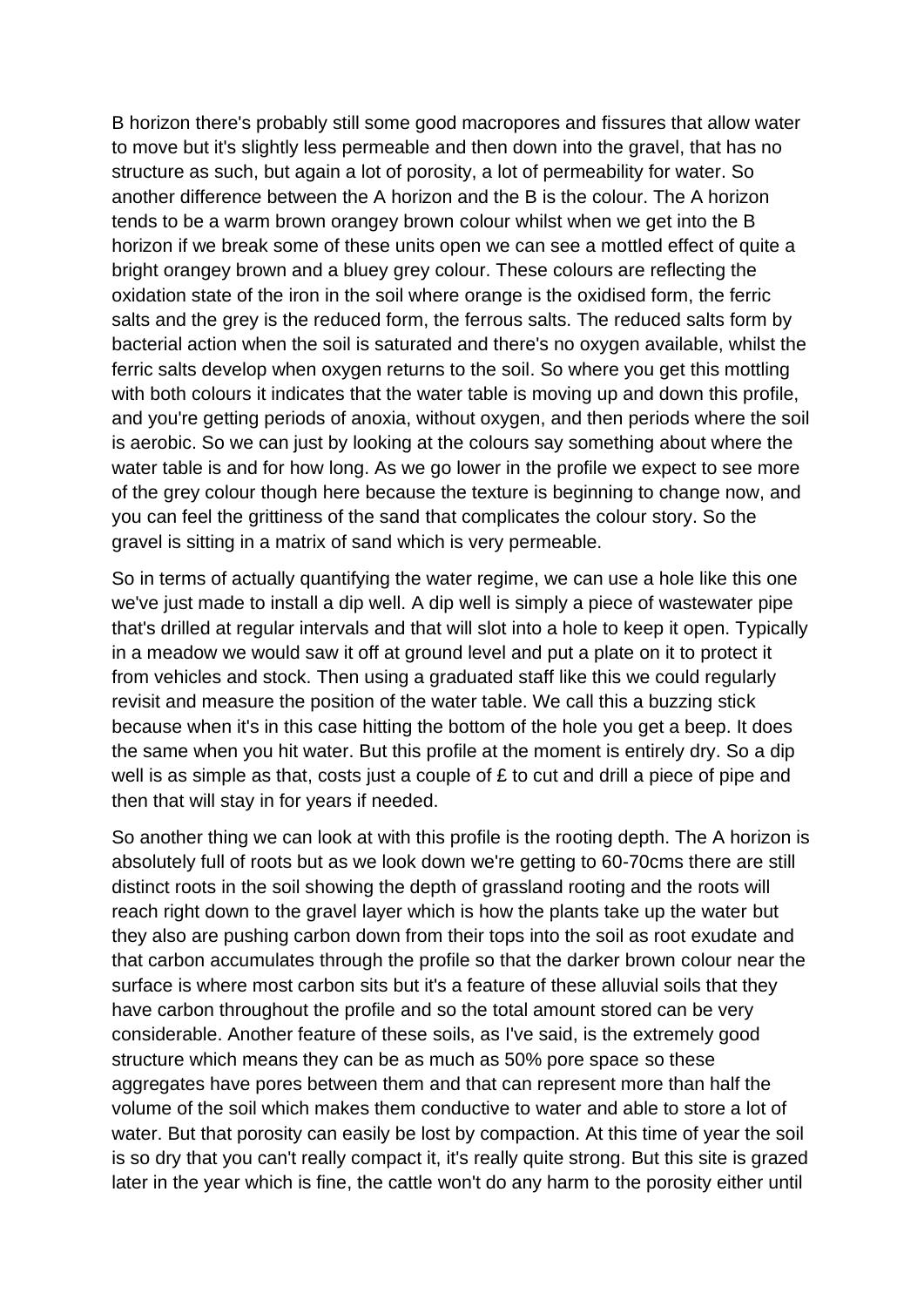B horizon there's probably still some good macropores and fissures that allow water to move but it's slightly less permeable and then down into the gravel, that has no structure as such, but again a lot of porosity, a lot of permeability for water. So another difference between the A horizon and the B is the colour. The A horizon tends to be a warm brown orangey brown colour whilst when we get into the B horizon if we break some of these units open we can see a mottled effect of quite a bright orangey brown and a bluey grey colour. These colours are reflecting the oxidation state of the iron in the soil where orange is the oxidised form, the ferric salts and the grey is the reduced form, the ferrous salts. The reduced salts form by bacterial action when the soil is saturated and there's no oxygen available, whilst the ferric salts develop when oxygen returns to the soil. So where you get this mottling with both colours it indicates that the water table is moving up and down this profile, and you're getting periods of anoxia, without oxygen, and then periods where the soil is aerobic. So we can just by looking at the colours say something about where the water table is and for how long. As we go lower in the profile we expect to see more of the grey colour though here because the texture is beginning to change now, and you can feel the grittiness of the sand that complicates the colour story. So the gravel is sitting in a matrix of sand which is very permeable.

So in terms of actually quantifying the water regime, we can use a hole like this one we've just made to install a dip well. A dip well is simply a piece of wastewater pipe that's drilled at regular intervals and that will slot into a hole to keep it open. Typically in a meadow we would saw it off at ground level and put a plate on it to protect it from vehicles and stock. Then using a graduated staff like this we could regularly revisit and measure the position of the water table. We call this a buzzing stick because when it's in this case hitting the bottom of the hole you get a beep. It does the same when you hit water. But this profile at the moment is entirely dry. So a dip well is as simple as that, costs just a couple of £ to cut and drill a piece of pipe and then that will stay in for years if needed.

So another thing we can look at with this profile is the rooting depth. The A horizon is absolutely full of roots but as we look down we're getting to 60-70cms there are still distinct roots in the soil showing the depth of grassland rooting and the roots will reach right down to the gravel layer which is how the plants take up the water but they also are pushing carbon down from their tops into the soil as root exudate and that carbon accumulates through the profile so that the darker brown colour near the surface is where most carbon sits but it's a feature of these alluvial soils that they have carbon throughout the profile and so the total amount stored can be very considerable. Another feature of these soils, as I've said, is the extremely good structure which means they can be as much as 50% pore space so these aggregates have pores between them and that can represent more than half the volume of the soil which makes them conductive to water and able to store a lot of water. But that porosity can easily be lost by compaction. At this time of year the soil is so dry that you can't really compact it, it's really quite strong. But this site is grazed later in the year which is fine, the cattle won't do any harm to the porosity either until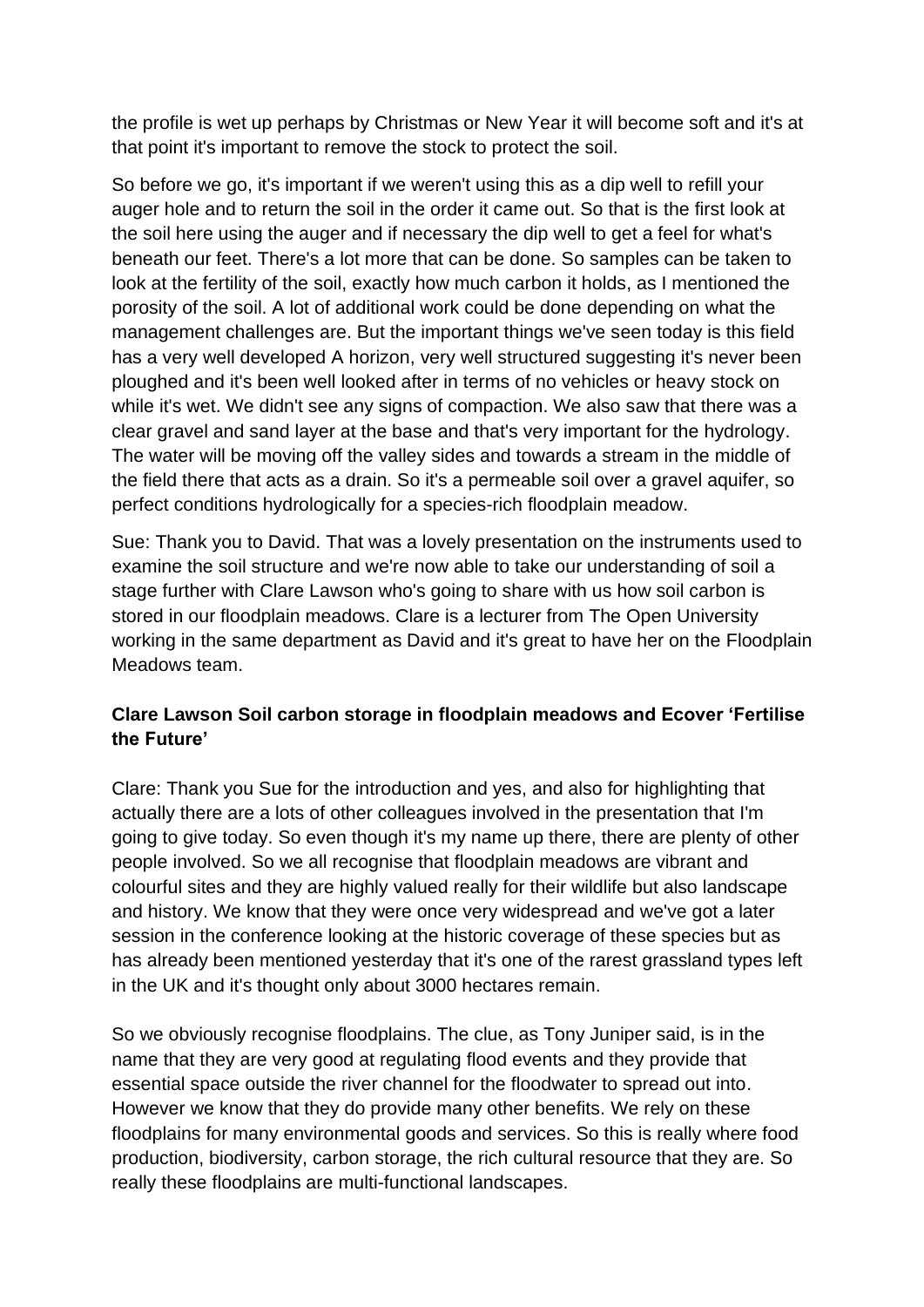the profile is wet up perhaps by Christmas or New Year it will become soft and it's at that point it's important to remove the stock to protect the soil.

So before we go, it's important if we weren't using this as a dip well to refill your auger hole and to return the soil in the order it came out. So that is the first look at the soil here using the auger and if necessary the dip well to get a feel for what's beneath our feet. There's a lot more that can be done. So samples can be taken to look at the fertility of the soil, exactly how much carbon it holds, as I mentioned the porosity of the soil. A lot of additional work could be done depending on what the management challenges are. But the important things we've seen today is this field has a very well developed A horizon, very well structured suggesting it's never been ploughed and it's been well looked after in terms of no vehicles or heavy stock on while it's wet. We didn't see any signs of compaction. We also saw that there was a clear gravel and sand layer at the base and that's very important for the hydrology. The water will be moving off the valley sides and towards a stream in the middle of the field there that acts as a drain. So it's a permeable soil over a gravel aquifer, so perfect conditions hydrologically for a species-rich floodplain meadow.

Sue: Thank you to David. That was a lovely presentation on the instruments used to examine the soil structure and we're now able to take our understanding of soil a stage further with Clare Lawson who's going to share with us how soil carbon is stored in our floodplain meadows. Clare is a lecturer from The Open University working in the same department as David and it's great to have her on the Floodplain Meadows team.

# **Clare Lawson Soil carbon storage in floodplain meadows and Ecover 'Fertilise the Future'**

Clare: Thank you Sue for the introduction and yes, and also for highlighting that actually there are a lots of other colleagues involved in the presentation that I'm going to give today. So even though it's my name up there, there are plenty of other people involved. So we all recognise that floodplain meadows are vibrant and colourful sites and they are highly valued really for their wildlife but also landscape and history. We know that they were once very widespread and we've got a later session in the conference looking at the historic coverage of these species but as has already been mentioned yesterday that it's one of the rarest grassland types left in the UK and it's thought only about 3000 hectares remain.

So we obviously recognise floodplains. The clue, as Tony Juniper said, is in the name that they are very good at regulating flood events and they provide that essential space outside the river channel for the floodwater to spread out into. However we know that they do provide many other benefits. We rely on these floodplains for many environmental goods and services. So this is really where food production, biodiversity, carbon storage, the rich cultural resource that they are. So really these floodplains are multi-functional landscapes.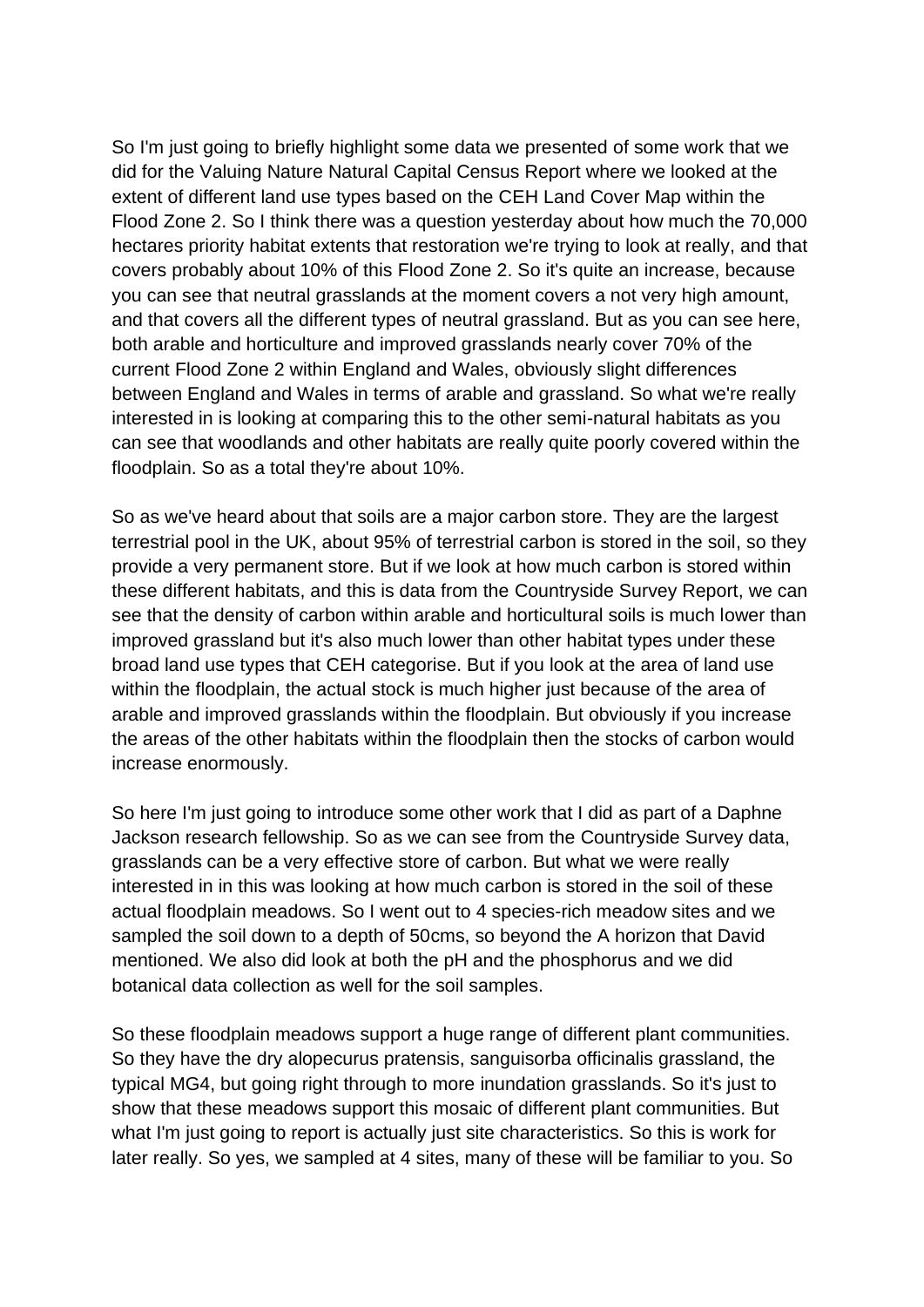So I'm just going to briefly highlight some data we presented of some work that we did for the Valuing Nature Natural Capital Census Report where we looked at the extent of different land use types based on the CEH Land Cover Map within the Flood Zone 2. So I think there was a question yesterday about how much the 70,000 hectares priority habitat extents that restoration we're trying to look at really, and that covers probably about 10% of this Flood Zone 2. So it's quite an increase, because you can see that neutral grasslands at the moment covers a not very high amount, and that covers all the different types of neutral grassland. But as you can see here, both arable and horticulture and improved grasslands nearly cover 70% of the current Flood Zone 2 within England and Wales, obviously slight differences between England and Wales in terms of arable and grassland. So what we're really interested in is looking at comparing this to the other semi-natural habitats as you can see that woodlands and other habitats are really quite poorly covered within the floodplain. So as a total they're about 10%.

So as we've heard about that soils are a major carbon store. They are the largest terrestrial pool in the UK, about 95% of terrestrial carbon is stored in the soil, so they provide a very permanent store. But if we look at how much carbon is stored within these different habitats, and this is data from the Countryside Survey Report, we can see that the density of carbon within arable and horticultural soils is much lower than improved grassland but it's also much lower than other habitat types under these broad land use types that CEH categorise. But if you look at the area of land use within the floodplain, the actual stock is much higher just because of the area of arable and improved grasslands within the floodplain. But obviously if you increase the areas of the other habitats within the floodplain then the stocks of carbon would increase enormously.

So here I'm just going to introduce some other work that I did as part of a Daphne Jackson research fellowship. So as we can see from the Countryside Survey data, grasslands can be a very effective store of carbon. But what we were really interested in in this was looking at how much carbon is stored in the soil of these actual floodplain meadows. So I went out to 4 species-rich meadow sites and we sampled the soil down to a depth of 50cms, so beyond the A horizon that David mentioned. We also did look at both the pH and the phosphorus and we did botanical data collection as well for the soil samples.

So these floodplain meadows support a huge range of different plant communities. So they have the dry alopecurus pratensis, sanguisorba officinalis grassland, the typical MG4, but going right through to more inundation grasslands. So it's just to show that these meadows support this mosaic of different plant communities. But what I'm just going to report is actually just site characteristics. So this is work for later really. So yes, we sampled at 4 sites, many of these will be familiar to you. So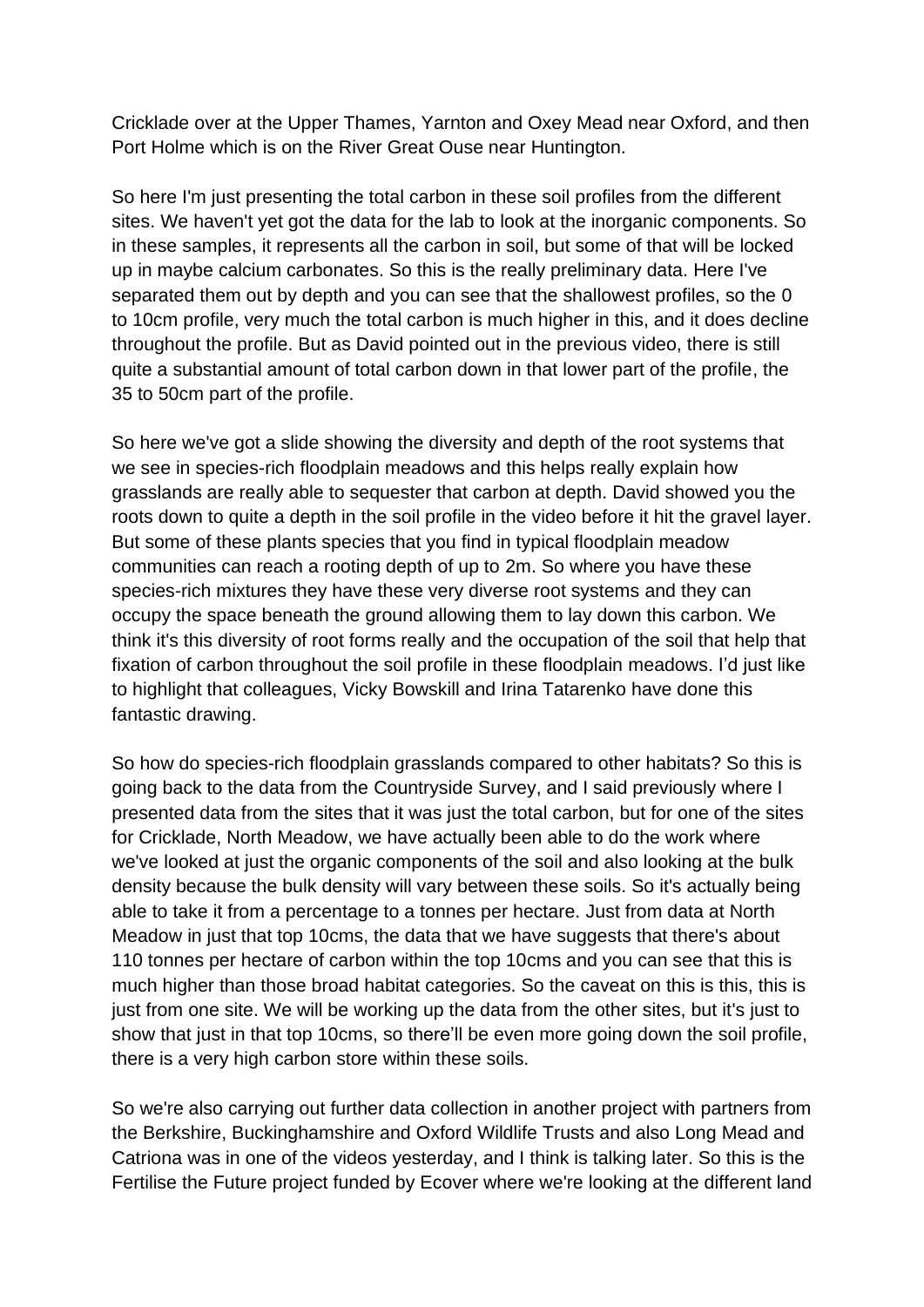Cricklade over at the Upper Thames, Yarnton and Oxey Mead near Oxford, and then Port Holme which is on the River Great Ouse near Huntington.

So here I'm just presenting the total carbon in these soil profiles from the different sites. We haven't yet got the data for the lab to look at the inorganic components. So in these samples, it represents all the carbon in soil, but some of that will be locked up in maybe calcium carbonates. So this is the really preliminary data. Here I've separated them out by depth and you can see that the shallowest profiles, so the 0 to 10cm profile, very much the total carbon is much higher in this, and it does decline throughout the profile. But as David pointed out in the previous video, there is still quite a substantial amount of total carbon down in that lower part of the profile, the 35 to 50cm part of the profile.

So here we've got a slide showing the diversity and depth of the root systems that we see in species-rich floodplain meadows and this helps really explain how grasslands are really able to sequester that carbon at depth. David showed you the roots down to quite a depth in the soil profile in the video before it hit the gravel layer. But some of these plants species that you find in typical floodplain meadow communities can reach a rooting depth of up to 2m. So where you have these species-rich mixtures they have these very diverse root systems and they can occupy the space beneath the ground allowing them to lay down this carbon. We think it's this diversity of root forms really and the occupation of the soil that help that fixation of carbon throughout the soil profile in these floodplain meadows. I'd just like to highlight that colleagues, Vicky Bowskill and Irina Tatarenko have done this fantastic drawing.

So how do species-rich floodplain grasslands compared to other habitats? So this is going back to the data from the Countryside Survey, and I said previously where I presented data from the sites that it was just the total carbon, but for one of the sites for Cricklade, North Meadow, we have actually been able to do the work where we've looked at just the organic components of the soil and also looking at the bulk density because the bulk density will vary between these soils. So it's actually being able to take it from a percentage to a tonnes per hectare. Just from data at North Meadow in just that top 10cms, the data that we have suggests that there's about 110 tonnes per hectare of carbon within the top 10cms and you can see that this is much higher than those broad habitat categories. So the caveat on this is this, this is just from one site. We will be working up the data from the other sites, but it's just to show that just in that top 10cms, so there'll be even more going down the soil profile, there is a very high carbon store within these soils.

So we're also carrying out further data collection in another project with partners from the Berkshire, Buckinghamshire and Oxford Wildlife Trusts and also Long Mead and Catriona was in one of the videos yesterday, and I think is talking later. So this is the Fertilise the Future project funded by Ecover where we're looking at the different land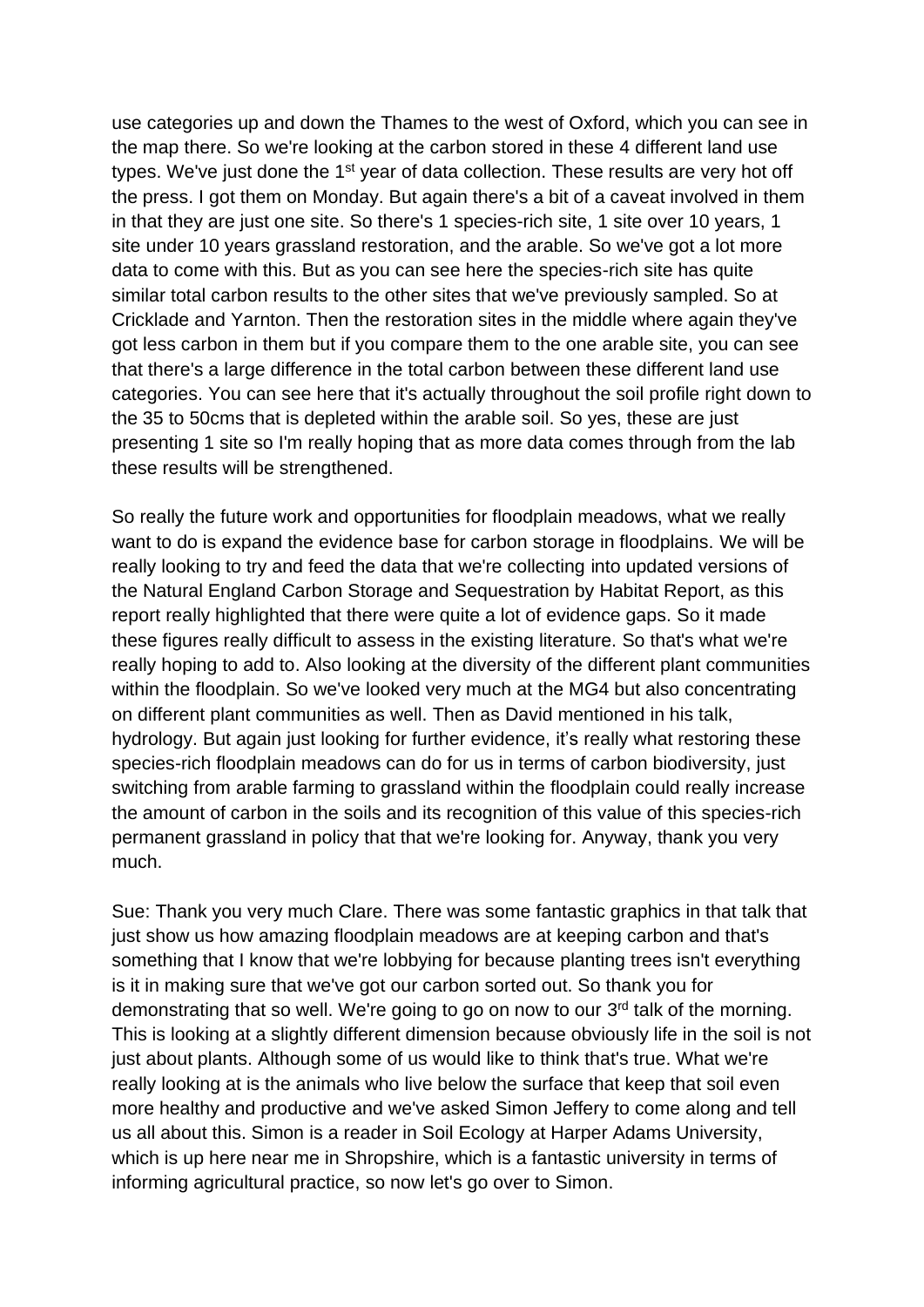use categories up and down the Thames to the west of Oxford, which you can see in the map there. So we're looking at the carbon stored in these 4 different land use types. We've just done the 1<sup>st</sup> year of data collection. These results are very hot off the press. I got them on Monday. But again there's a bit of a caveat involved in them in that they are just one site. So there's 1 species-rich site, 1 site over 10 years, 1 site under 10 years grassland restoration, and the arable. So we've got a lot more data to come with this. But as you can see here the species-rich site has quite similar total carbon results to the other sites that we've previously sampled. So at Cricklade and Yarnton. Then the restoration sites in the middle where again they've got less carbon in them but if you compare them to the one arable site, you can see that there's a large difference in the total carbon between these different land use categories. You can see here that it's actually throughout the soil profile right down to the 35 to 50cms that is depleted within the arable soil. So yes, these are just presenting 1 site so I'm really hoping that as more data comes through from the lab these results will be strengthened.

So really the future work and opportunities for floodplain meadows, what we really want to do is expand the evidence base for carbon storage in floodplains. We will be really looking to try and feed the data that we're collecting into updated versions of the Natural England Carbon Storage and Sequestration by Habitat Report, as this report really highlighted that there were quite a lot of evidence gaps. So it made these figures really difficult to assess in the existing literature. So that's what we're really hoping to add to. Also looking at the diversity of the different plant communities within the floodplain. So we've looked very much at the MG4 but also concentrating on different plant communities as well. Then as David mentioned in his talk, hydrology. But again just looking for further evidence, it's really what restoring these species-rich floodplain meadows can do for us in terms of carbon biodiversity, just switching from arable farming to grassland within the floodplain could really increase the amount of carbon in the soils and its recognition of this value of this species-rich permanent grassland in policy that that we're looking for. Anyway, thank you very much.

Sue: Thank you very much Clare. There was some fantastic graphics in that talk that just show us how amazing floodplain meadows are at keeping carbon and that's something that I know that we're lobbying for because planting trees isn't everything is it in making sure that we've got our carbon sorted out. So thank you for demonstrating that so well. We're going to go on now to our 3<sup>rd</sup> talk of the morning. This is looking at a slightly different dimension because obviously life in the soil is not just about plants. Although some of us would like to think that's true. What we're really looking at is the animals who live below the surface that keep that soil even more healthy and productive and we've asked Simon Jeffery to come along and tell us all about this. Simon is a reader in Soil Ecology at Harper Adams University, which is up here near me in Shropshire, which is a fantastic university in terms of informing agricultural practice, so now let's go over to Simon.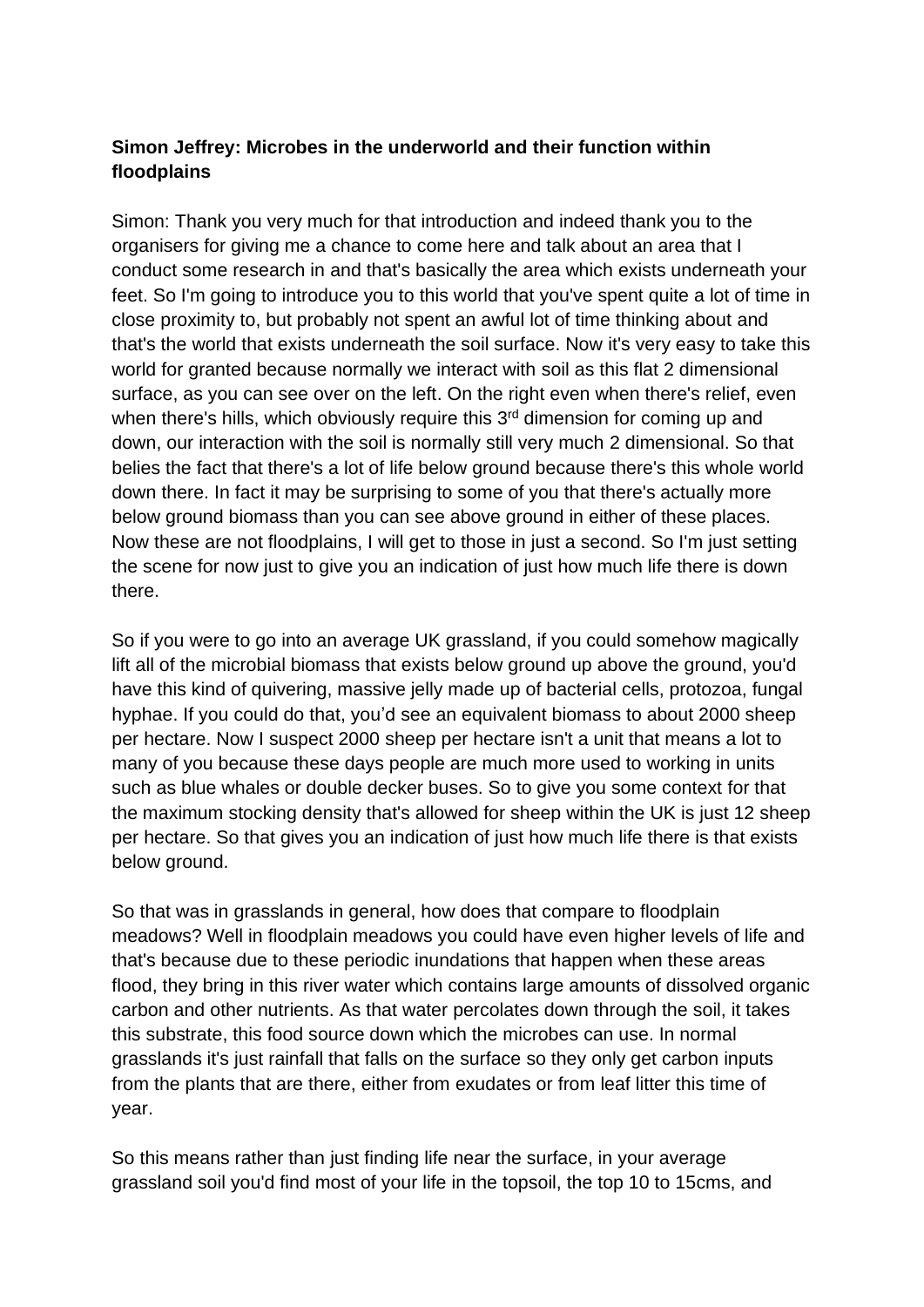## **Simon Jeffrey: Microbes in the underworld and their function within floodplains**

Simon: Thank you very much for that introduction and indeed thank you to the organisers for giving me a chance to come here and talk about an area that I conduct some research in and that's basically the area which exists underneath your feet. So I'm going to introduce you to this world that you've spent quite a lot of time in close proximity to, but probably not spent an awful lot of time thinking about and that's the world that exists underneath the soil surface. Now it's very easy to take this world for granted because normally we interact with soil as this flat 2 dimensional surface, as you can see over on the left. On the right even when there's relief, even when there's hills, which obviously require this 3<sup>rd</sup> dimension for coming up and down, our interaction with the soil is normally still very much 2 dimensional. So that belies the fact that there's a lot of life below ground because there's this whole world down there. In fact it may be surprising to some of you that there's actually more below ground biomass than you can see above ground in either of these places. Now these are not floodplains, I will get to those in just a second. So I'm just setting the scene for now just to give you an indication of just how much life there is down there.

So if you were to go into an average UK grassland, if you could somehow magically lift all of the microbial biomass that exists below ground up above the ground, you'd have this kind of quivering, massive jelly made up of bacterial cells, protozoa, fungal hyphae. If you could do that, you'd see an equivalent biomass to about 2000 sheep per hectare. Now I suspect 2000 sheep per hectare isn't a unit that means a lot to many of you because these days people are much more used to working in units such as blue whales or double decker buses. So to give you some context for that the maximum stocking density that's allowed for sheep within the UK is just 12 sheep per hectare. So that gives you an indication of just how much life there is that exists below ground.

So that was in grasslands in general, how does that compare to floodplain meadows? Well in floodplain meadows you could have even higher levels of life and that's because due to these periodic inundations that happen when these areas flood, they bring in this river water which contains large amounts of dissolved organic carbon and other nutrients. As that water percolates down through the soil, it takes this substrate, this food source down which the microbes can use. In normal grasslands it's just rainfall that falls on the surface so they only get carbon inputs from the plants that are there, either from exudates or from leaf litter this time of year.

So this means rather than just finding life near the surface, in your average grassland soil you'd find most of your life in the topsoil, the top 10 to 15cms, and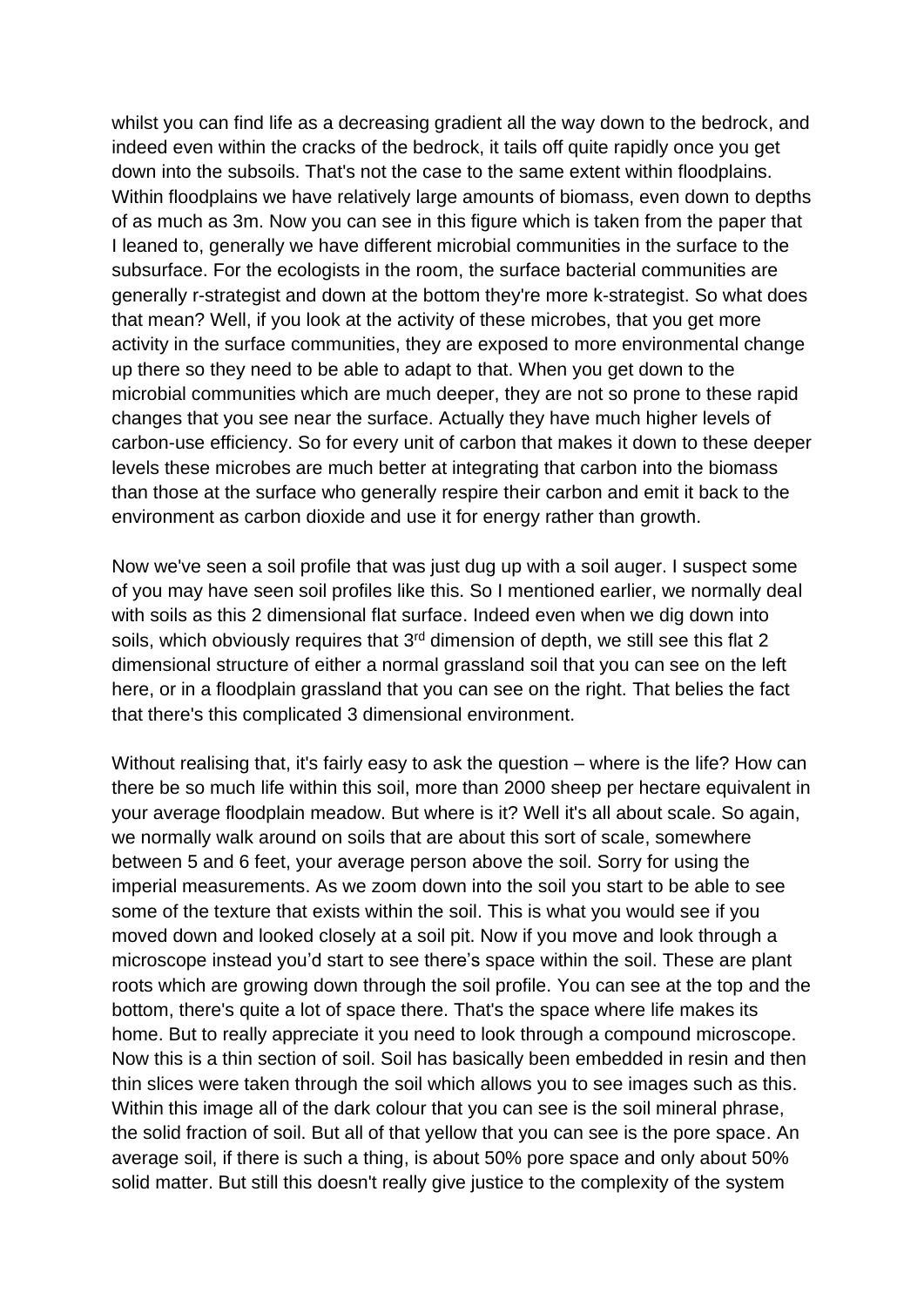whilst you can find life as a decreasing gradient all the way down to the bedrock, and indeed even within the cracks of the bedrock, it tails off quite rapidly once you get down into the subsoils. That's not the case to the same extent within floodplains. Within floodplains we have relatively large amounts of biomass, even down to depths of as much as 3m. Now you can see in this figure which is taken from the paper that I leaned to, generally we have different microbial communities in the surface to the subsurface. For the ecologists in the room, the surface bacterial communities are generally r-strategist and down at the bottom they're more k-strategist. So what does that mean? Well, if you look at the activity of these microbes, that you get more activity in the surface communities, they are exposed to more environmental change up there so they need to be able to adapt to that. When you get down to the microbial communities which are much deeper, they are not so prone to these rapid changes that you see near the surface. Actually they have much higher levels of carbon-use efficiency. So for every unit of carbon that makes it down to these deeper levels these microbes are much better at integrating that carbon into the biomass than those at the surface who generally respire their carbon and emit it back to the environment as carbon dioxide and use it for energy rather than growth.

Now we've seen a soil profile that was just dug up with a soil auger. I suspect some of you may have seen soil profiles like this. So I mentioned earlier, we normally deal with soils as this 2 dimensional flat surface. Indeed even when we dig down into soils, which obviously requires that  $3<sup>rd</sup>$  dimension of depth, we still see this flat 2 dimensional structure of either a normal grassland soil that you can see on the left here, or in a floodplain grassland that you can see on the right. That belies the fact that there's this complicated 3 dimensional environment.

Without realising that, it's fairly easy to ask the question – where is the life? How can there be so much life within this soil, more than 2000 sheep per hectare equivalent in your average floodplain meadow. But where is it? Well it's all about scale. So again, we normally walk around on soils that are about this sort of scale, somewhere between 5 and 6 feet, your average person above the soil. Sorry for using the imperial measurements. As we zoom down into the soil you start to be able to see some of the texture that exists within the soil. This is what you would see if you moved down and looked closely at a soil pit. Now if you move and look through a microscope instead you'd start to see there's space within the soil. These are plant roots which are growing down through the soil profile. You can see at the top and the bottom, there's quite a lot of space there. That's the space where life makes its home. But to really appreciate it you need to look through a compound microscope. Now this is a thin section of soil. Soil has basically been embedded in resin and then thin slices were taken through the soil which allows you to see images such as this. Within this image all of the dark colour that you can see is the soil mineral phrase, the solid fraction of soil. But all of that yellow that you can see is the pore space. An average soil, if there is such a thing, is about 50% pore space and only about 50% solid matter. But still this doesn't really give justice to the complexity of the system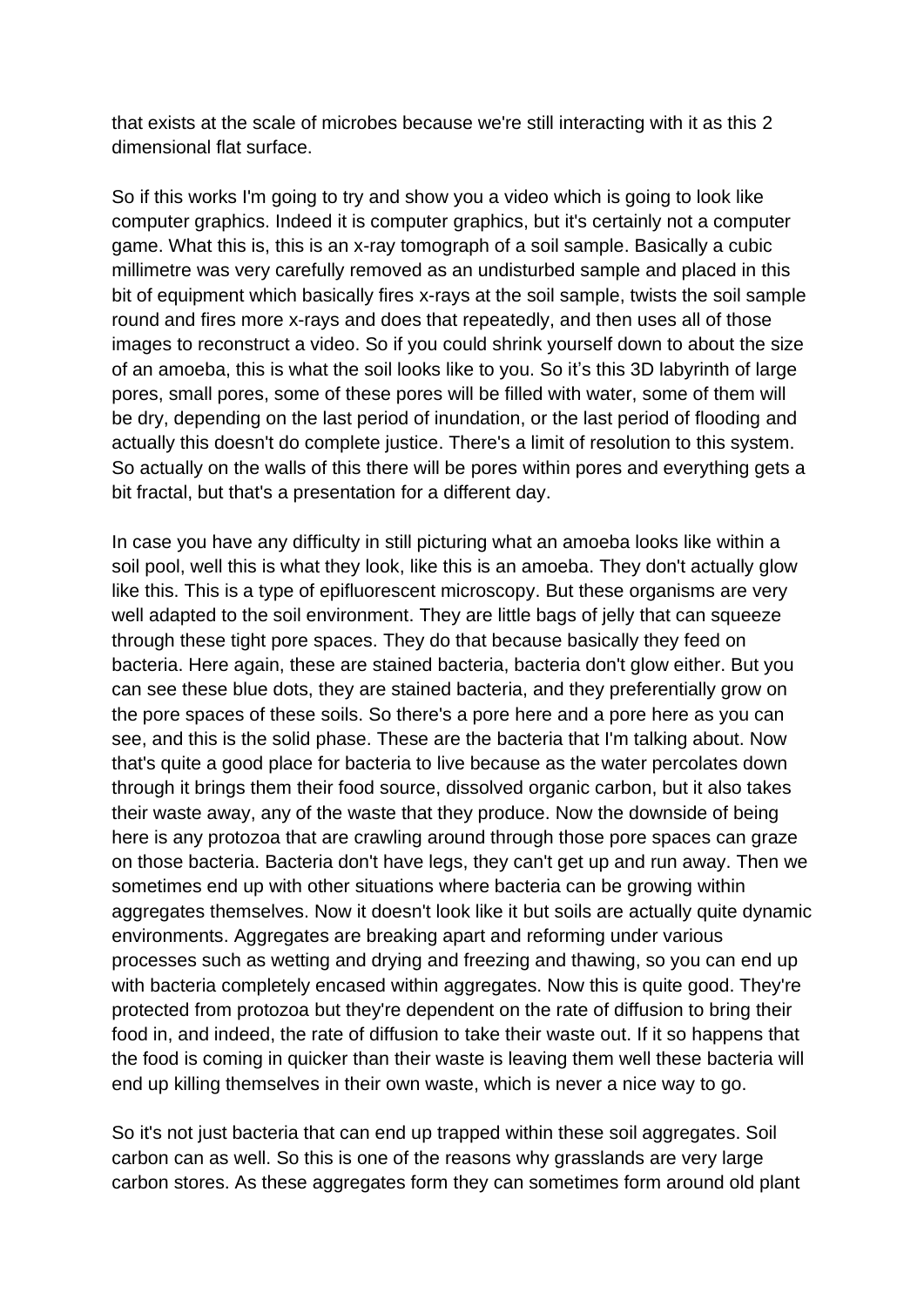that exists at the scale of microbes because we're still interacting with it as this 2 dimensional flat surface.

So if this works I'm going to try and show you a video which is going to look like computer graphics. Indeed it is computer graphics, but it's certainly not a computer game. What this is, this is an x-ray tomograph of a soil sample. Basically a cubic millimetre was very carefully removed as an undisturbed sample and placed in this bit of equipment which basically fires x-rays at the soil sample, twists the soil sample round and fires more x-rays and does that repeatedly, and then uses all of those images to reconstruct a video. So if you could shrink yourself down to about the size of an amoeba, this is what the soil looks like to you. So it's this 3D labyrinth of large pores, small pores, some of these pores will be filled with water, some of them will be dry, depending on the last period of inundation, or the last period of flooding and actually this doesn't do complete justice. There's a limit of resolution to this system. So actually on the walls of this there will be pores within pores and everything gets a bit fractal, but that's a presentation for a different day.

In case you have any difficulty in still picturing what an amoeba looks like within a soil pool, well this is what they look, like this is an amoeba. They don't actually glow like this. This is a type of epifluorescent microscopy. But these organisms are very well adapted to the soil environment. They are little bags of jelly that can squeeze through these tight pore spaces. They do that because basically they feed on bacteria. Here again, these are stained bacteria, bacteria don't glow either. But you can see these blue dots, they are stained bacteria, and they preferentially grow on the pore spaces of these soils. So there's a pore here and a pore here as you can see, and this is the solid phase. These are the bacteria that I'm talking about. Now that's quite a good place for bacteria to live because as the water percolates down through it brings them their food source, dissolved organic carbon, but it also takes their waste away, any of the waste that they produce. Now the downside of being here is any protozoa that are crawling around through those pore spaces can graze on those bacteria. Bacteria don't have legs, they can't get up and run away. Then we sometimes end up with other situations where bacteria can be growing within aggregates themselves. Now it doesn't look like it but soils are actually quite dynamic environments. Aggregates are breaking apart and reforming under various processes such as wetting and drying and freezing and thawing, so you can end up with bacteria completely encased within aggregates. Now this is quite good. They're protected from protozoa but they're dependent on the rate of diffusion to bring their food in, and indeed, the rate of diffusion to take their waste out. If it so happens that the food is coming in quicker than their waste is leaving them well these bacteria will end up killing themselves in their own waste, which is never a nice way to go.

So it's not just bacteria that can end up trapped within these soil aggregates. Soil carbon can as well. So this is one of the reasons why grasslands are very large carbon stores. As these aggregates form they can sometimes form around old plant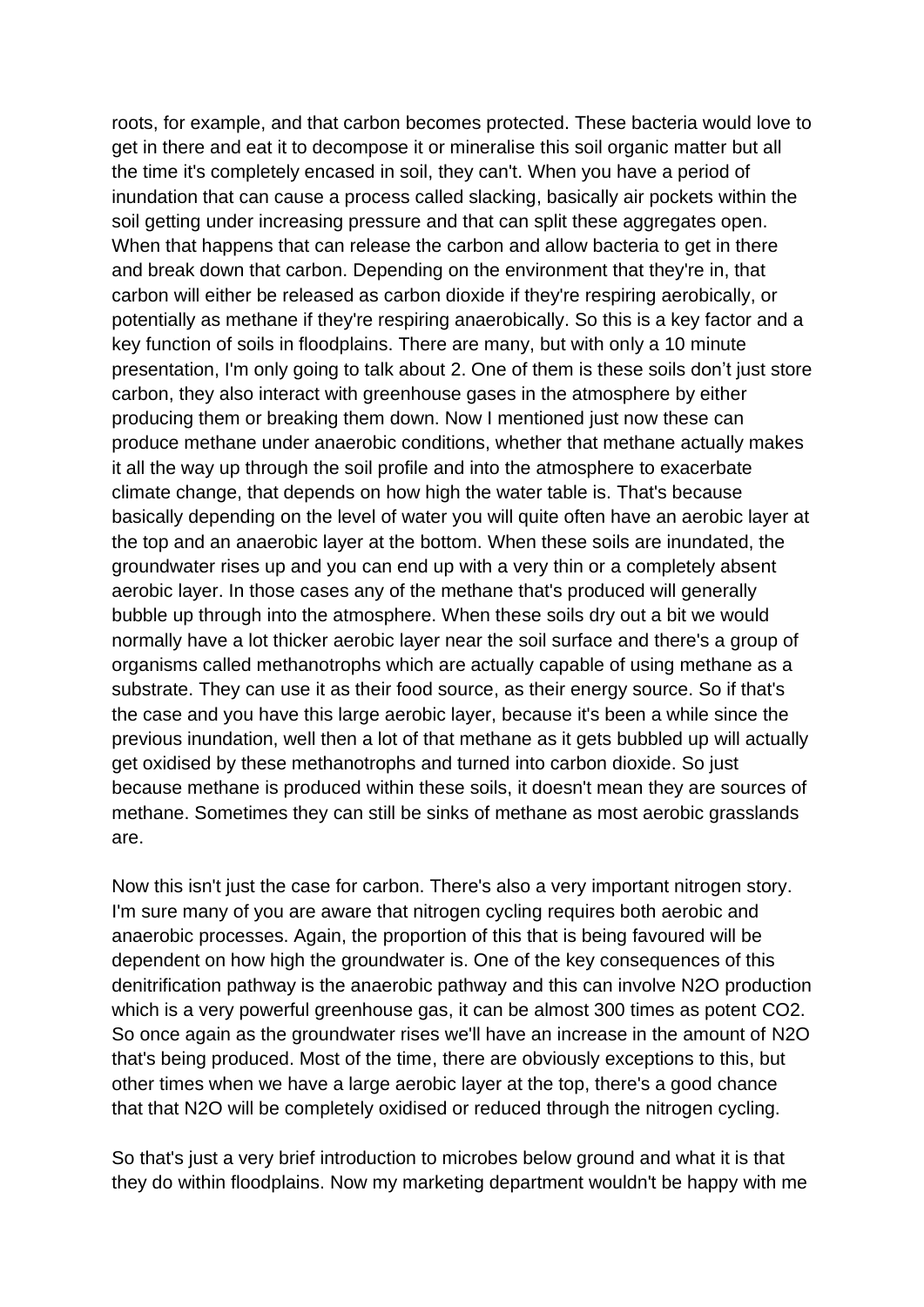roots, for example, and that carbon becomes protected. These bacteria would love to get in there and eat it to decompose it or mineralise this soil organic matter but all the time it's completely encased in soil, they can't. When you have a period of inundation that can cause a process called slacking, basically air pockets within the soil getting under increasing pressure and that can split these aggregates open. When that happens that can release the carbon and allow bacteria to get in there and break down that carbon. Depending on the environment that they're in, that carbon will either be released as carbon dioxide if they're respiring aerobically, or potentially as methane if they're respiring anaerobically. So this is a key factor and a key function of soils in floodplains. There are many, but with only a 10 minute presentation, I'm only going to talk about 2. One of them is these soils don't just store carbon, they also interact with greenhouse gases in the atmosphere by either producing them or breaking them down. Now I mentioned just now these can produce methane under anaerobic conditions, whether that methane actually makes it all the way up through the soil profile and into the atmosphere to exacerbate climate change, that depends on how high the water table is. That's because basically depending on the level of water you will quite often have an aerobic layer at the top and an anaerobic layer at the bottom. When these soils are inundated, the groundwater rises up and you can end up with a very thin or a completely absent aerobic layer. In those cases any of the methane that's produced will generally bubble up through into the atmosphere. When these soils dry out a bit we would normally have a lot thicker aerobic layer near the soil surface and there's a group of organisms called methanotrophs which are actually capable of using methane as a substrate. They can use it as their food source, as their energy source. So if that's the case and you have this large aerobic layer, because it's been a while since the previous inundation, well then a lot of that methane as it gets bubbled up will actually get oxidised by these methanotrophs and turned into carbon dioxide. So just because methane is produced within these soils, it doesn't mean they are sources of methane. Sometimes they can still be sinks of methane as most aerobic grasslands are.

Now this isn't just the case for carbon. There's also a very important nitrogen story. I'm sure many of you are aware that nitrogen cycling requires both aerobic and anaerobic processes. Again, the proportion of this that is being favoured will be dependent on how high the groundwater is. One of the key consequences of this denitrification pathway is the anaerobic pathway and this can involve N2O production which is a very powerful greenhouse gas, it can be almost 300 times as potent CO2. So once again as the groundwater rises we'll have an increase in the amount of N2O that's being produced. Most of the time, there are obviously exceptions to this, but other times when we have a large aerobic layer at the top, there's a good chance that that N2O will be completely oxidised or reduced through the nitrogen cycling.

So that's just a very brief introduction to microbes below ground and what it is that they do within floodplains. Now my marketing department wouldn't be happy with me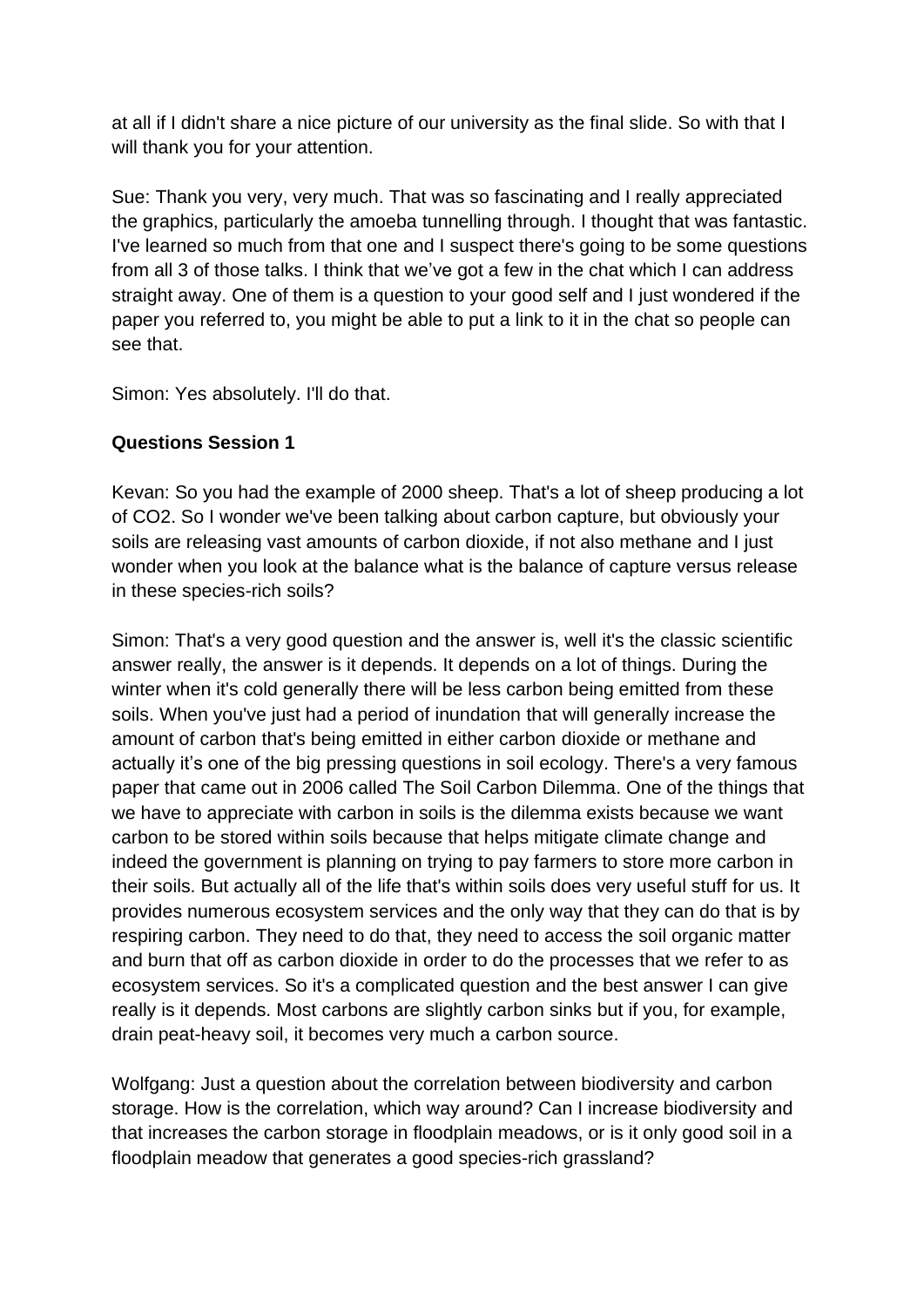at all if I didn't share a nice picture of our university as the final slide. So with that I will thank you for your attention.

Sue: Thank you very, very much. That was so fascinating and I really appreciated the graphics, particularly the amoeba tunnelling through. I thought that was fantastic. I've learned so much from that one and I suspect there's going to be some questions from all 3 of those talks. I think that we've got a few in the chat which I can address straight away. One of them is a question to your good self and I just wondered if the paper you referred to, you might be able to put a link to it in the chat so people can see that.

Simon: Yes absolutely. I'll do that.

### **Questions Session 1**

Kevan: So you had the example of 2000 sheep. That's a lot of sheep producing a lot of CO2. So I wonder we've been talking about carbon capture, but obviously your soils are releasing vast amounts of carbon dioxide, if not also methane and I just wonder when you look at the balance what is the balance of capture versus release in these species-rich soils?

Simon: That's a very good question and the answer is, well it's the classic scientific answer really, the answer is it depends. It depends on a lot of things. During the winter when it's cold generally there will be less carbon being emitted from these soils. When you've just had a period of inundation that will generally increase the amount of carbon that's being emitted in either carbon dioxide or methane and actually it's one of the big pressing questions in soil ecology. There's a very famous paper that came out in 2006 called The Soil Carbon Dilemma. One of the things that we have to appreciate with carbon in soils is the dilemma exists because we want carbon to be stored within soils because that helps mitigate climate change and indeed the government is planning on trying to pay farmers to store more carbon in their soils. But actually all of the life that's within soils does very useful stuff for us. It provides numerous ecosystem services and the only way that they can do that is by respiring carbon. They need to do that, they need to access the soil organic matter and burn that off as carbon dioxide in order to do the processes that we refer to as ecosystem services. So it's a complicated question and the best answer I can give really is it depends. Most carbons are slightly carbon sinks but if you, for example, drain peat-heavy soil, it becomes very much a carbon source.

Wolfgang: Just a question about the correlation between biodiversity and carbon storage. How is the correlation, which way around? Can I increase biodiversity and that increases the carbon storage in floodplain meadows, or is it only good soil in a floodplain meadow that generates a good species-rich grassland?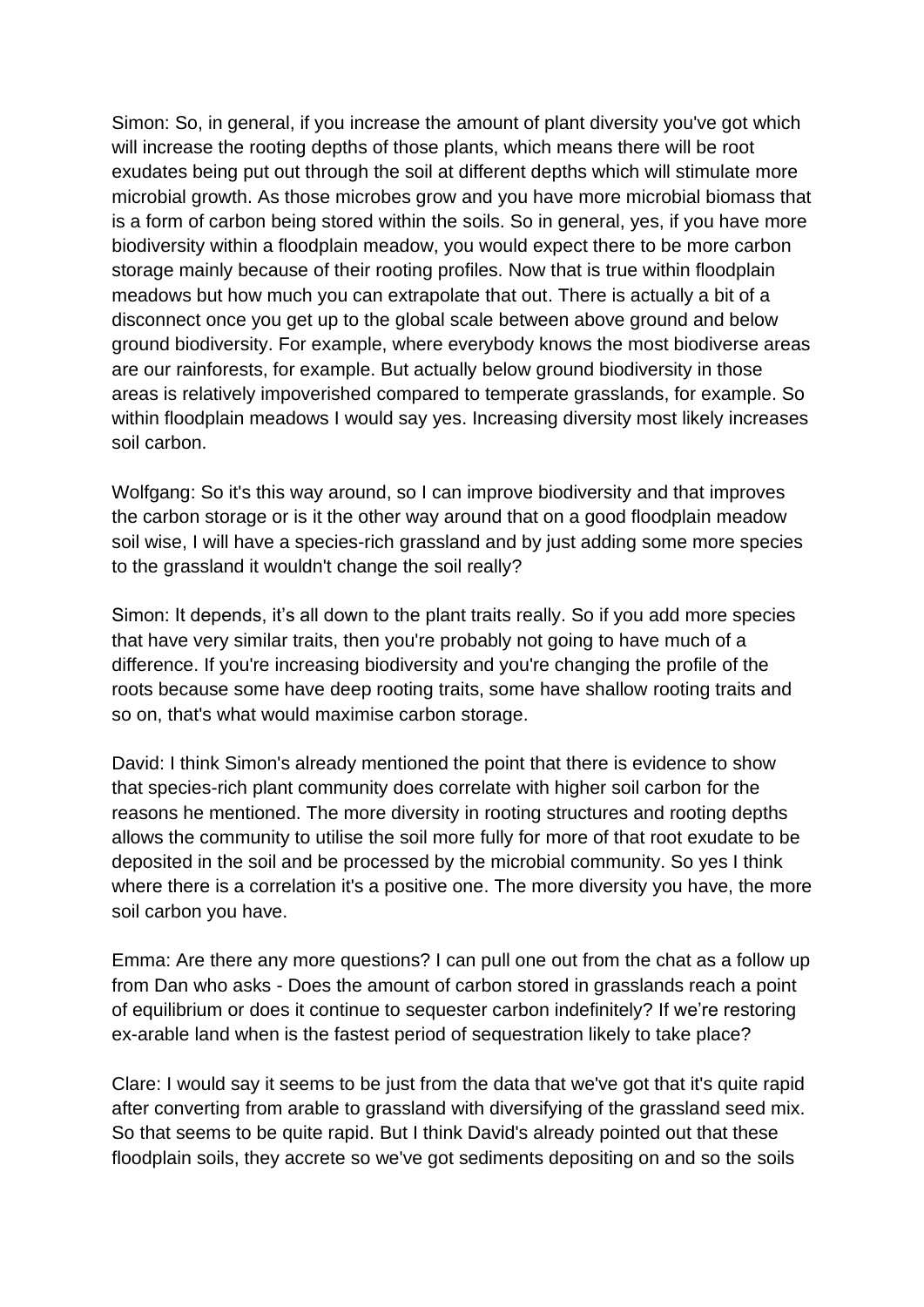Simon: So, in general, if you increase the amount of plant diversity you've got which will increase the rooting depths of those plants, which means there will be root exudates being put out through the soil at different depths which will stimulate more microbial growth. As those microbes grow and you have more microbial biomass that is a form of carbon being stored within the soils. So in general, yes, if you have more biodiversity within a floodplain meadow, you would expect there to be more carbon storage mainly because of their rooting profiles. Now that is true within floodplain meadows but how much you can extrapolate that out. There is actually a bit of a disconnect once you get up to the global scale between above ground and below ground biodiversity. For example, where everybody knows the most biodiverse areas are our rainforests, for example. But actually below ground biodiversity in those areas is relatively impoverished compared to temperate grasslands, for example. So within floodplain meadows I would say yes. Increasing diversity most likely increases soil carbon.

Wolfgang: So it's this way around, so I can improve biodiversity and that improves the carbon storage or is it the other way around that on a good floodplain meadow soil wise, I will have a species-rich grassland and by just adding some more species to the grassland it wouldn't change the soil really?

Simon: It depends, it's all down to the plant traits really. So if you add more species that have very similar traits, then you're probably not going to have much of a difference. If you're increasing biodiversity and you're changing the profile of the roots because some have deep rooting traits, some have shallow rooting traits and so on, that's what would maximise carbon storage.

David: I think Simon's already mentioned the point that there is evidence to show that species-rich plant community does correlate with higher soil carbon for the reasons he mentioned. The more diversity in rooting structures and rooting depths allows the community to utilise the soil more fully for more of that root exudate to be deposited in the soil and be processed by the microbial community. So yes I think where there is a correlation it's a positive one. The more diversity you have, the more soil carbon you have.

Emma: Are there any more questions? I can pull one out from the chat as a follow up from Dan who asks - Does the amount of carbon stored in grasslands reach a point of equilibrium or does it continue to sequester carbon indefinitely? If we're restoring ex-arable land when is the fastest period of sequestration likely to take place?

Clare: I would say it seems to be just from the data that we've got that it's quite rapid after converting from arable to grassland with diversifying of the grassland seed mix. So that seems to be quite rapid. But I think David's already pointed out that these floodplain soils, they accrete so we've got sediments depositing on and so the soils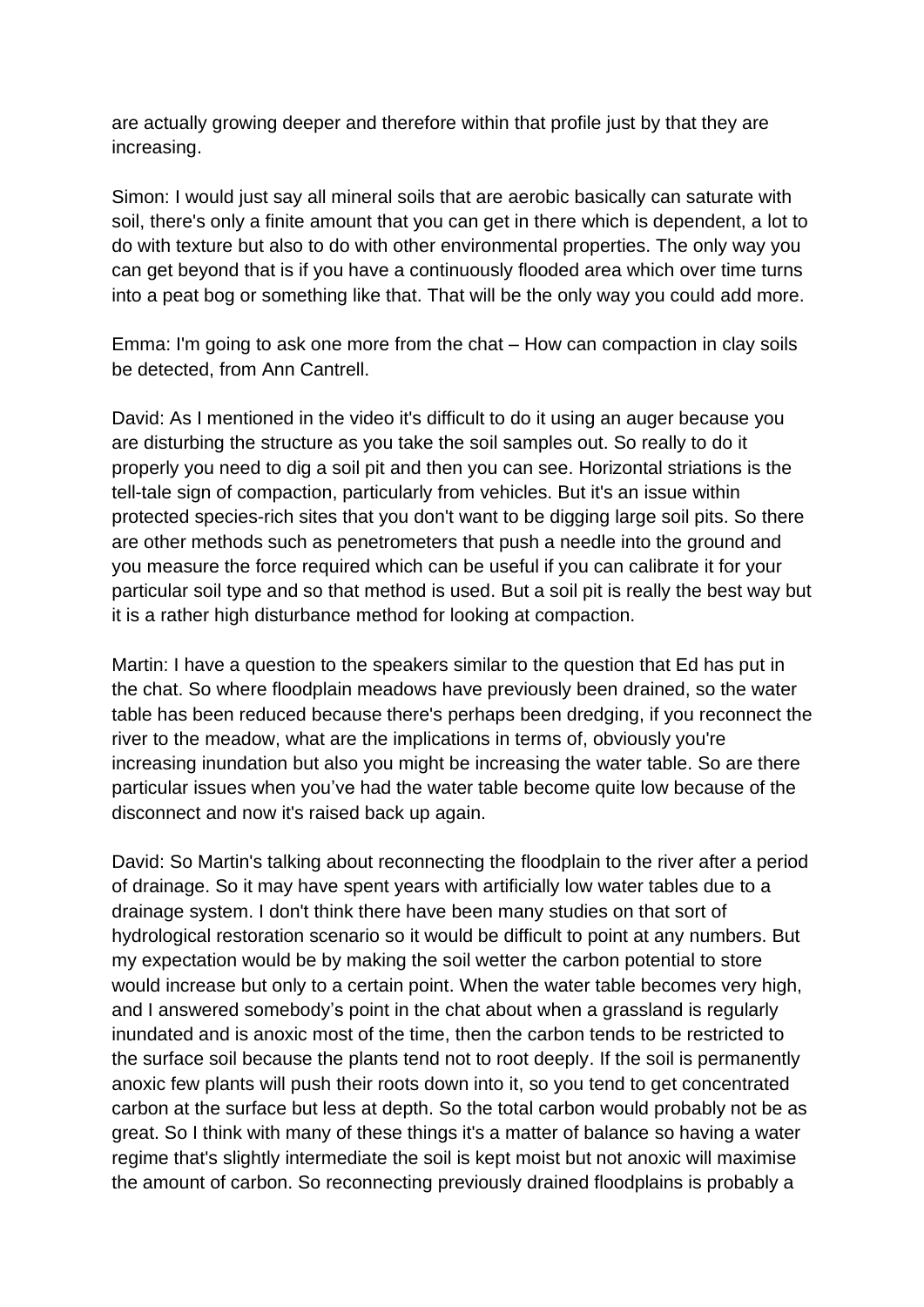are actually growing deeper and therefore within that profile just by that they are increasing.

Simon: I would just say all mineral soils that are aerobic basically can saturate with soil, there's only a finite amount that you can get in there which is dependent, a lot to do with texture but also to do with other environmental properties. The only way you can get beyond that is if you have a continuously flooded area which over time turns into a peat bog or something like that. That will be the only way you could add more.

Emma: I'm going to ask one more from the chat – How can compaction in clay soils be detected, from Ann Cantrell.

David: As I mentioned in the video it's difficult to do it using an auger because you are disturbing the structure as you take the soil samples out. So really to do it properly you need to dig a soil pit and then you can see. Horizontal striations is the tell-tale sign of compaction, particularly from vehicles. But it's an issue within protected species-rich sites that you don't want to be digging large soil pits. So there are other methods such as penetrometers that push a needle into the ground and you measure the force required which can be useful if you can calibrate it for your particular soil type and so that method is used. But a soil pit is really the best way but it is a rather high disturbance method for looking at compaction.

Martin: I have a question to the speakers similar to the question that Ed has put in the chat. So where floodplain meadows have previously been drained, so the water table has been reduced because there's perhaps been dredging, if you reconnect the river to the meadow, what are the implications in terms of, obviously you're increasing inundation but also you might be increasing the water table. So are there particular issues when you've had the water table become quite low because of the disconnect and now it's raised back up again.

David: So Martin's talking about reconnecting the floodplain to the river after a period of drainage. So it may have spent years with artificially low water tables due to a drainage system. I don't think there have been many studies on that sort of hydrological restoration scenario so it would be difficult to point at any numbers. But my expectation would be by making the soil wetter the carbon potential to store would increase but only to a certain point. When the water table becomes very high, and I answered somebody's point in the chat about when a grassland is regularly inundated and is anoxic most of the time, then the carbon tends to be restricted to the surface soil because the plants tend not to root deeply. If the soil is permanently anoxic few plants will push their roots down into it, so you tend to get concentrated carbon at the surface but less at depth. So the total carbon would probably not be as great. So I think with many of these things it's a matter of balance so having a water regime that's slightly intermediate the soil is kept moist but not anoxic will maximise the amount of carbon. So reconnecting previously drained floodplains is probably a